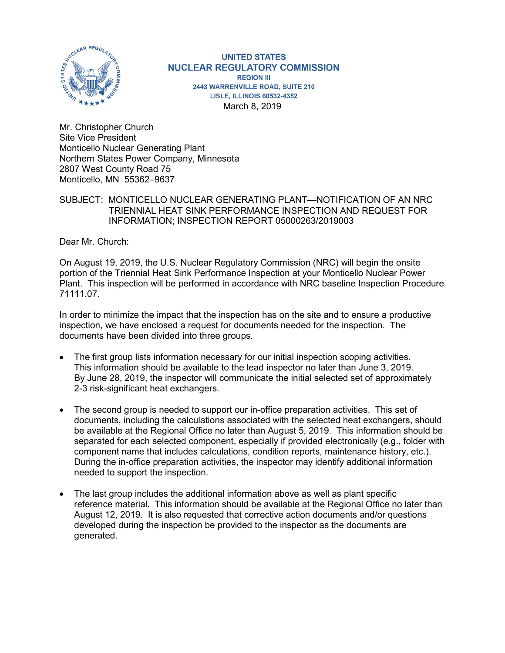

**UNITED STATES NUCLEAR REGULATORY COMMISSION REGION III** 2443 WARRENVILLE ROAD, SUITE 210 **LISLE, ILLINOIS 60532-4352** March 8, 2019

Mr. Christopher Church Site Vice President Monticello Nuclear Generating Plant Northern States Power Company, Minnesota 2807 West County Road 75 Monticello, MN 55362–9637

## SUBJECT: MONTICELLO NUCLEAR GENERATING PLANT—NOTIFICATION OF AN NRC TRIENNIAL HEAT SINK PERFORMANCE INSPECTION AND REQUEST FOR INFORMATION; INSPECTION REPORT 05000263/2019003

Dear Mr. Church:

On August 19, 2019, the U.S. Nuclear Regulatory Commission (NRC) will begin the onsite portion of the Triennial Heat Sink Performance Inspection at your Monticello Nuclear Power Plant. This inspection will be performed in accordance with NRC baseline Inspection Procedure 71111.07.

In order to minimize the impact that the inspection has on the site and to ensure a productive inspection, we have enclosed a request for documents needed for the inspection. The documents have been divided into three groups.

- The first group lists information necessary for our initial inspection scoping activities. This information should be available to the lead inspector no later than June 3, 2019. By June 28, 2019, the inspector will communicate the initial selected set of approximately 2-3 risk-significant heat exchangers.
- The second group is needed to support our in-office preparation activities. This set of documents, including the calculations associated with the selected heat exchangers, should be available at the Regional Office no later than August 5, 2019. This information should be separated for each selected component, especially if provided electronically (e.g., folder with component name that includes calculations, condition reports, maintenance history, etc.). During the in-office preparation activities, the inspector may identify additional information needed to support the inspection.
- The last group includes the additional information above as well as plant specific reference material. This information should be available at the Regional Office no later than August 12, 2019. It is also requested that corrective action documents and/or questions developed during the inspection be provided to the inspector as the documents are generated.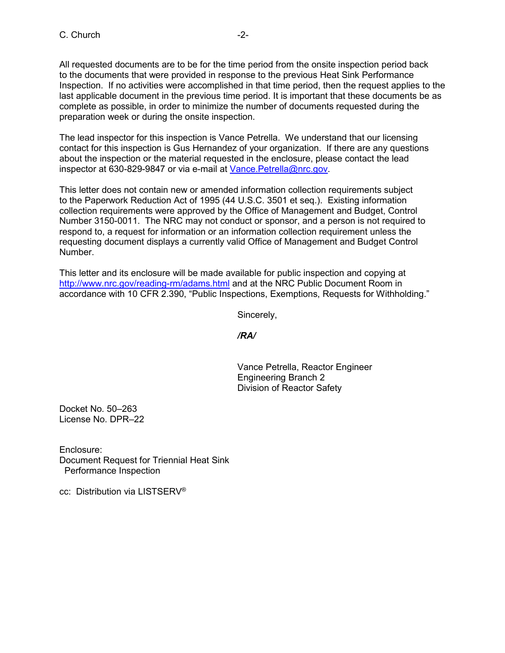All requested documents are to be for the time period from the onsite inspection period back to the documents that were provided in response to the previous Heat Sink Performance Inspection. If no activities were accomplished in that time period, then the request applies to the last applicable document in the previous time period. It is important that these documents be as complete as possible, in order to minimize the number of documents requested during the preparation week or during the onsite inspection.

The lead inspector for this inspection is Vance Petrella. We understand that our licensing contact for this inspection is Gus Hernandez of your organization. If there are any questions about the inspection or the material requested in the enclosure, please contact the lead inspector at 630-829-9847 or via e-mail at Vance. Petrella@nrc.gov.

This letter does not contain new or amended information collection requirements subject to the Paperwork Reduction Act of 1995 (44 U.S.C. 3501 et seq.). Existing information collection requirements were approved by the Office of Management and Budget, Control Number 3150-0011. The NRC may not conduct or sponsor, and a person is not required to respond to, a request for information or an information collection requirement unless the requesting document displays a currently valid Office of Management and Budget Control Number.

This letter and its enclosure will be made available for public inspection and copying at <http://www.nrc.gov/reading-rm/adams.html> and at the NRC Public Document Room in accordance with 10 CFR 2.390, "Public Inspections, Exemptions, Requests for Withholding."

Sincerely,

*/RA/*

Vance Petrella, Reactor Engineer Engineering Branch 2 Division of Reactor Safety

Docket No. 50–263 License No. DPR–22

Enclosure: Document Request for Triennial Heat Sink Performance Inspection

cc: Distribution via LISTSERV®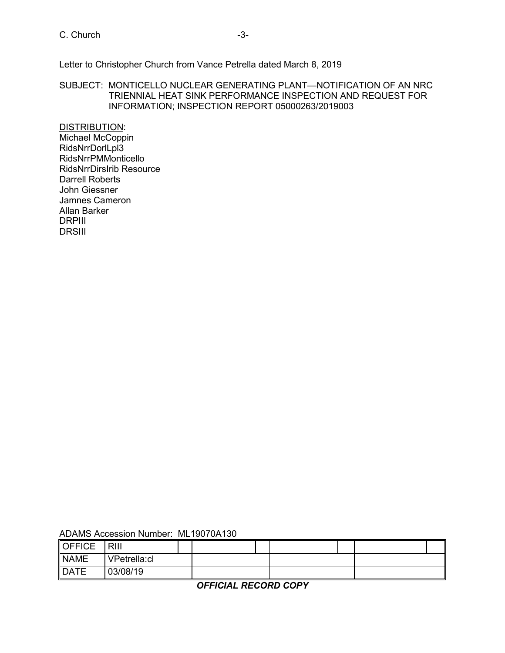## C. Church -3-

Letter to Christopher Church from Vance Petrella dated March 8, 2019

SUBJECT: MONTICELLO NUCLEAR GENERATING PLANT—NOTIFICATION OF AN NRC TRIENNIAL HEAT SINK PERFORMANCE INSPECTION AND REQUEST FOR INFORMATION; INSPECTION REPORT 05000263/2019003

DISTRIBUTION: Michael McCoppin RidsNrrDorlLpl3 RidsNrrPMMonticello RidsNrrDirsIrib Resource Darrell Roberts John Giessner Jamnes Cameron Allan Barker DRPIII DRSIII

| ADAMS Accession Number: ML19070A130 |  |
|-------------------------------------|--|
|-------------------------------------|--|

| <b>OFFICE</b> | <b>RIII</b>  |  |  |  |  |
|---------------|--------------|--|--|--|--|
| <b>NAME</b>   | VPetrella:cl |  |  |  |  |
| <b>DATE</b>   | 03/08/19     |  |  |  |  |

*OFFICIAL RECORD COPY*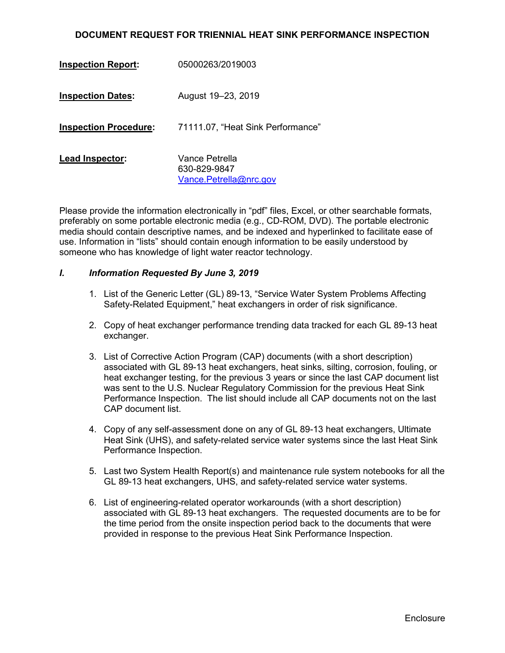## **DOCUMENT REQUEST FOR TRIENNIAL HEAT SINK PERFORMANCE INSPECTION**

| <b>Inspection Report:</b>    | 05000263/2019003                                         |
|------------------------------|----------------------------------------------------------|
| <b>Inspection Dates:</b>     | August 19-23, 2019                                       |
| <b>Inspection Procedure:</b> | 71111.07, "Heat Sink Performance"                        |
| Lead Inspector:              | Vance Petrella<br>630-829-9847<br>Vance.Petrella@nrc.gov |

Please provide the information electronically in "pdf" files, Excel, or other searchable formats, preferably on some portable electronic media (e.g., CD-ROM, DVD). The portable electronic media should contain descriptive names, and be indexed and hyperlinked to facilitate ease of use. Information in "lists" should contain enough information to be easily understood by someone who has knowledge of light water reactor technology.

#### *I. Information Requested By June 3, 2019*

- 1. List of the Generic Letter (GL) 89-13, "Service Water System Problems Affecting Safety-Related Equipment," heat exchangers in order of risk significance.
- 2. Copy of heat exchanger performance trending data tracked for each GL 89-13 heat exchanger.
- 3. List of Corrective Action Program (CAP) documents (with a short description) associated with GL 89-13 heat exchangers, heat sinks, silting, corrosion, fouling, or heat exchanger testing, for the previous 3 years or since the last CAP document list was sent to the U.S. Nuclear Regulatory Commission for the previous Heat Sink Performance Inspection. The list should include all CAP documents not on the last CAP document list.
- 4. Copy of any self-assessment done on any of GL 89-13 heat exchangers, Ultimate Heat Sink (UHS), and safety-related service water systems since the last Heat Sink Performance Inspection.
- 5. Last two System Health Report(s) and maintenance rule system notebooks for all the GL 89-13 heat exchangers, UHS, and safety-related service water systems.
- 6. List of engineering-related operator workarounds (with a short description) associated with GL 89-13 heat exchangers. The requested documents are to be for the time period from the onsite inspection period back to the documents that were provided in response to the previous Heat Sink Performance Inspection.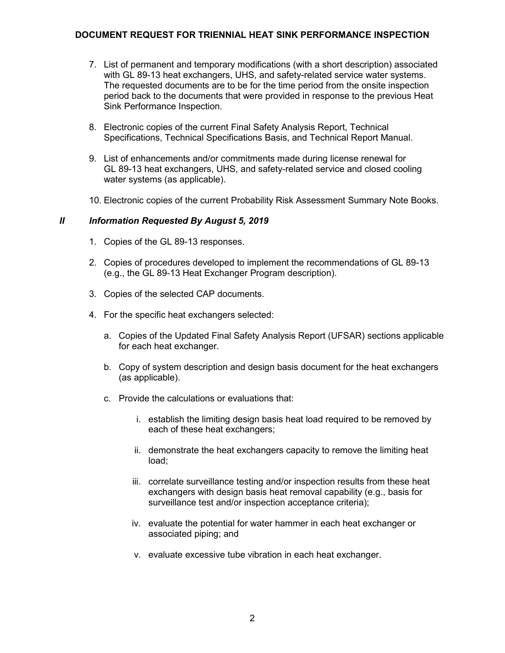## **DOCUMENT REQUEST FOR TRIENNIAL HEAT SINK PERFORMANCE INSPECTION**

- 7. List of permanent and temporary modifications (with a short description) associated with GL 89-13 heat exchangers, UHS, and safety-related service water systems. The requested documents are to be for the time period from the onsite inspection period back to the documents that were provided in response to the previous Heat Sink Performance Inspection.
- 8. Electronic copies of the current Final Safety Analysis Report, Technical Specifications, Technical Specifications Basis, and Technical Report Manual.
- 9. List of enhancements and/or commitments made during license renewal for GL 89-13 heat exchangers, UHS, and safety-related service and closed cooling water systems (as applicable).
- 10. Electronic copies of the current Probability Risk Assessment Summary Note Books.

### *II Information Requested By August 5, 2019*

- 1. Copies of the GL 89-13 responses.
- 2. Copies of procedures developed to implement the recommendations of GL 89-13 (e.g., the GL 89-13 Heat Exchanger Program description).
- 3. Copies of the selected CAP documents.
- 4. For the specific heat exchangers selected:
	- a. Copies of the Updated Final Safety Analysis Report (UFSAR) sections applicable for each heat exchanger.
	- b. Copy of system description and design basis document for the heat exchangers (as applicable).
	- c. Provide the calculations or evaluations that:
		- i. establish the limiting design basis heat load required to be removed by each of these heat exchangers;
		- ii. demonstrate the heat exchangers capacity to remove the limiting heat load;
		- iii. correlate surveillance testing and/or inspection results from these heat exchangers with design basis heat removal capability (e.g., basis for surveillance test and/or inspection acceptance criteria);
		- iv. evaluate the potential for water hammer in each heat exchanger or associated piping; and
		- v. evaluate excessive tube vibration in each heat exchanger.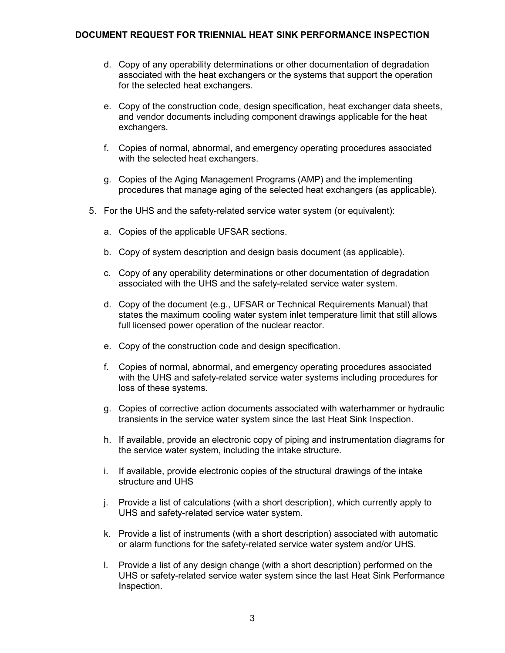- d. Copy of any operability determinations or other documentation of degradation associated with the heat exchangers or the systems that support the operation for the selected heat exchangers.
- e. Copy of the construction code, design specification, heat exchanger data sheets, and vendor documents including component drawings applicable for the heat exchangers.
- f. Copies of normal, abnormal, and emergency operating procedures associated with the selected heat exchangers.
- g. Copies of the Aging Management Programs (AMP) and the implementing procedures that manage aging of the selected heat exchangers (as applicable).
- 5. For the UHS and the safety-related service water system (or equivalent):
	- a. Copies of the applicable UFSAR sections.
	- b. Copy of system description and design basis document (as applicable).
	- c. Copy of any operability determinations or other documentation of degradation associated with the UHS and the safety-related service water system.
	- d. Copy of the document (e.g., UFSAR or Technical Requirements Manual) that states the maximum cooling water system inlet temperature limit that still allows full licensed power operation of the nuclear reactor.
	- e. Copy of the construction code and design specification.
	- f. Copies of normal, abnormal, and emergency operating procedures associated with the UHS and safety-related service water systems including procedures for loss of these systems.
	- g. Copies of corrective action documents associated with waterhammer or hydraulic transients in the service water system since the last Heat Sink Inspection.
	- h. If available, provide an electronic copy of piping and instrumentation diagrams for the service water system, including the intake structure.
	- i. If available, provide electronic copies of the structural drawings of the intake structure and UHS
	- j. Provide a list of calculations (with a short description), which currently apply to UHS and safety-related service water system.
	- k. Provide a list of instruments (with a short description) associated with automatic or alarm functions for the safety-related service water system and/or UHS.
	- l. Provide a list of any design change (with a short description) performed on the UHS or safety-related service water system since the last Heat Sink Performance Inspection.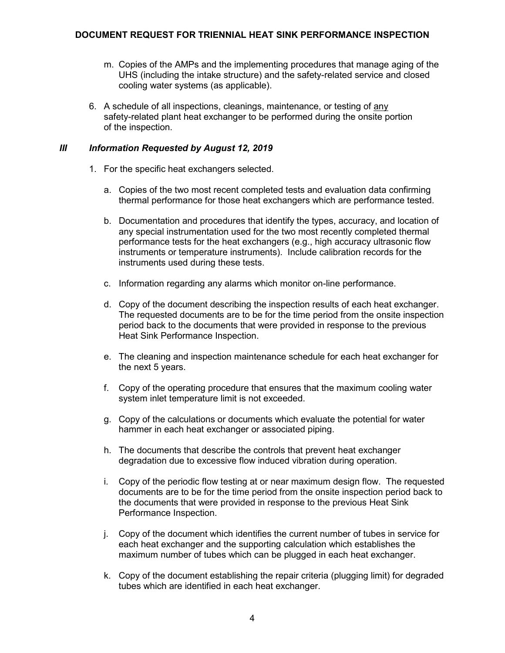- m. Copies of the AMPs and the implementing procedures that manage aging of the UHS (including the intake structure) and the safety-related service and closed cooling water systems (as applicable).
- 6. A schedule of all inspections, cleanings, maintenance, or testing of any safety-related plant heat exchanger to be performed during the onsite portion of the inspection.

# *III Information Requested by August 12, 2019*

- 1. For the specific heat exchangers selected.
	- a. Copies of the two most recent completed tests and evaluation data confirming thermal performance for those heat exchangers which are performance tested.
	- b. Documentation and procedures that identify the types, accuracy, and location of any special instrumentation used for the two most recently completed thermal performance tests for the heat exchangers (e.g., high accuracy ultrasonic flow instruments or temperature instruments). Include calibration records for the instruments used during these tests.
	- c. Information regarding any alarms which monitor on-line performance.
	- d. Copy of the document describing the inspection results of each heat exchanger. The requested documents are to be for the time period from the onsite inspection period back to the documents that were provided in response to the previous Heat Sink Performance Inspection.
	- e. The cleaning and inspection maintenance schedule for each heat exchanger for the next 5 years.
	- f. Copy of the operating procedure that ensures that the maximum cooling water system inlet temperature limit is not exceeded.
	- g. Copy of the calculations or documents which evaluate the potential for water hammer in each heat exchanger or associated piping.
	- h. The documents that describe the controls that prevent heat exchanger degradation due to excessive flow induced vibration during operation.
	- i. Copy of the periodic flow testing at or near maximum design flow. The requested documents are to be for the time period from the onsite inspection period back to the documents that were provided in response to the previous Heat Sink Performance Inspection.
	- j. Copy of the document which identifies the current number of tubes in service for each heat exchanger and the supporting calculation which establishes the maximum number of tubes which can be plugged in each heat exchanger.
	- k. Copy of the document establishing the repair criteria (plugging limit) for degraded tubes which are identified in each heat exchanger.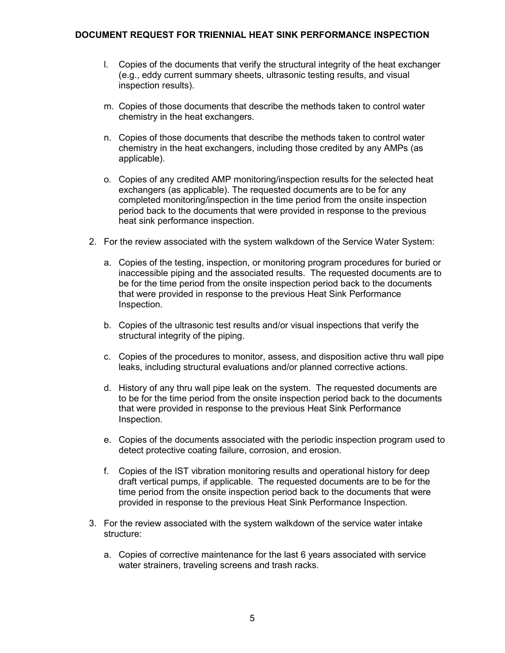- l. Copies of the documents that verify the structural integrity of the heat exchanger (e.g., eddy current summary sheets, ultrasonic testing results, and visual inspection results).
- m. Copies of those documents that describe the methods taken to control water chemistry in the heat exchangers.
- n. Copies of those documents that describe the methods taken to control water chemistry in the heat exchangers, including those credited by any AMPs (as applicable).
- o. Copies of any credited AMP monitoring/inspection results for the selected heat exchangers (as applicable). The requested documents are to be for any completed monitoring/inspection in the time period from the onsite inspection period back to the documents that were provided in response to the previous heat sink performance inspection.
- 2. For the review associated with the system walkdown of the Service Water System:
	- a. Copies of the testing, inspection, or monitoring program procedures for buried or inaccessible piping and the associated results. The requested documents are to be for the time period from the onsite inspection period back to the documents that were provided in response to the previous Heat Sink Performance Inspection.
	- b. Copies of the ultrasonic test results and/or visual inspections that verify the structural integrity of the piping.
	- c. Copies of the procedures to monitor, assess, and disposition active thru wall pipe leaks, including structural evaluations and/or planned corrective actions.
	- d. History of any thru wall pipe leak on the system. The requested documents are to be for the time period from the onsite inspection period back to the documents that were provided in response to the previous Heat Sink Performance Inspection.
	- e. Copies of the documents associated with the periodic inspection program used to detect protective coating failure, corrosion, and erosion.
	- f. Copies of the IST vibration monitoring results and operational history for deep draft vertical pumps, if applicable. The requested documents are to be for the time period from the onsite inspection period back to the documents that were provided in response to the previous Heat Sink Performance Inspection.
- 3. For the review associated with the system walkdown of the service water intake structure:
	- a. Copies of corrective maintenance for the last 6 years associated with service water strainers, traveling screens and trash racks.